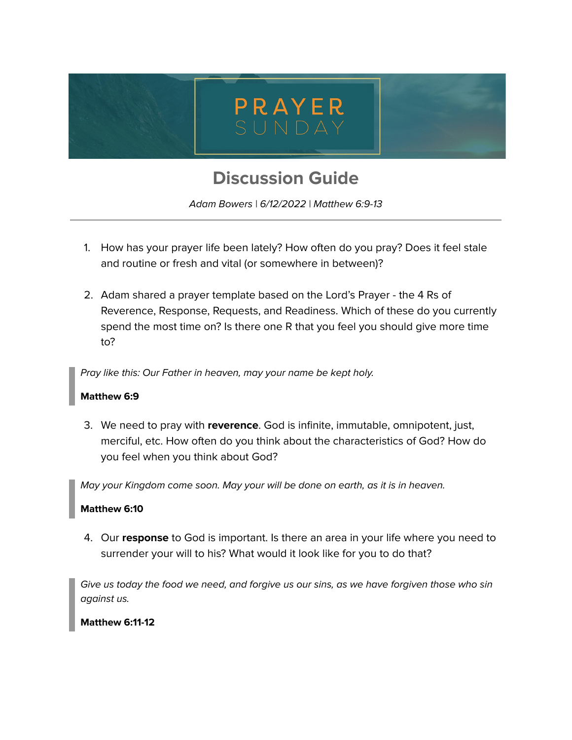

# **Discussion Guide**

Adam Bowers | 6/12/2022 | Matthew 6:9-13

- 1. How has your prayer life been lately? How often do you pray? Does it feel stale and routine or fresh and vital (or somewhere in between)?
- 2. Adam shared a prayer template based on the Lord's Prayer the 4 Rs of Reverence, Response, Requests, and Readiness. Which of these do you currently spend the most time on? Is there one R that you feel you should give more time to?

Pray like this: Our Father in heaven, may your name be kept holy.

## **Matthew 6:9**

3. We need to pray with **reverence**. God is infinite, immutable, omnipotent, just, merciful, etc. How often do you think about the characteristics of God? How do you feel when you think about God?

May your Kingdom come soon. May your will be done on earth, as it is in heaven.

#### **Matthew 6:10**

4. Our **response** to God is important. Is there an area in your life where you need to surrender your will to his? What would it look like for you to do that?

Give us today the food we need, and forgive us our sins, as we have forgiven those who sin against us.

## **Matthew 6:11-12**